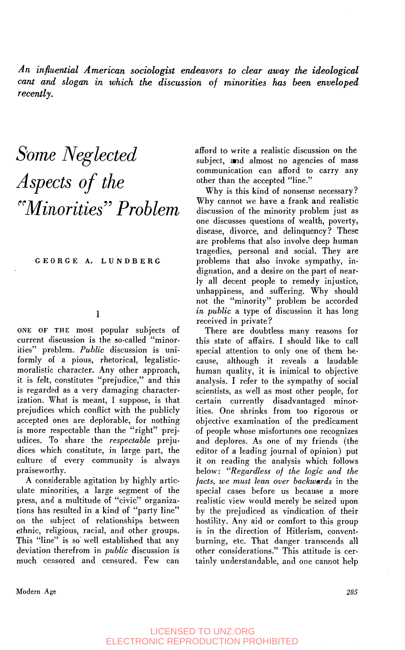*An influential American sociologist endeavors to clear away the ideological cant and slogan in which the discussion of minorities has been enveloped recently.* 

# *3ome Neglected Aspects of the crMin~ritieS?7 Problem*

**GEORGE A. LUNDBERG** 

#### I

**ONE OF THE** most popular subjects of current discussion is the so-called "minorities" problem. *Public* discussion is uniformly of a pious, rhetorical, legalisticmoralistic character. Any other approach, it is felt, constitutes "prejudice," and this is regarded as a very damaging characterization. What is meant, I suppose, is that prejudices which conflict with the publicly accepted ones are deplorable, for nothing is more respectable than the "right" prejudices. To share the *respectable* prejudices which constitute, in large part, the culture of every community is always praiseworthy.

**A** considerable agitation by highly articulate minorities, a large segment of the press, and a multitude of "civic" organizations has resulted in a kind of "party line" on the subject of relationships between ethnic, religious, racial, and other groups. This "line" is so' well established that any deviation therefrom in *public* discussion is much censored and censured. Few can afford to write a realistic discussion on the subject, and almost no agencies of mass communication can afford to carry any other than the accepted "line."

Why is this kind of nonsense necessary? Why cannot we have a frank and realistic discussion of the minority problem just as one discusses questions of wealth, poverty, disease, divorce, and delinquency? These are problems that also involve deep human tragedies, personal and social. They are problems that also invoke sympathy, indignation, and a desire on the part of nearly all decent people to remedy injustice, unhappiness, and suffering. Why should not the "minority" problem be accorded *in public* a type of discussion it has long received in private?

There are doubtless many reasons for this state of affairs. **I** should like to call special attention to only one of them because, although it reveals a laudable human quality, it is inimical to objective analysis. I refer to the sympathy of social scientists, as well as most other people, for certain currently disadvantaged minorities. One shrinks from too rigorous or objective examination of the predicament of people whose misfortunes one recognizes and deplores. As one of my friends (the editor of a leading journal of opinion) put it on reading the analysis which follows below: *"Regardless of the logic and the facts, we must lean over backwards* in the special cases before us because a more realistic view would merely be seized upon by the prejudiced as vindication of their hostility. Any aid or comfort to this group is in the direction of Hitlerism, conventburning, etc. That danger transcends all other considerations." This attitude is certainly understandable, and one cannot help

Modem **Age** *285*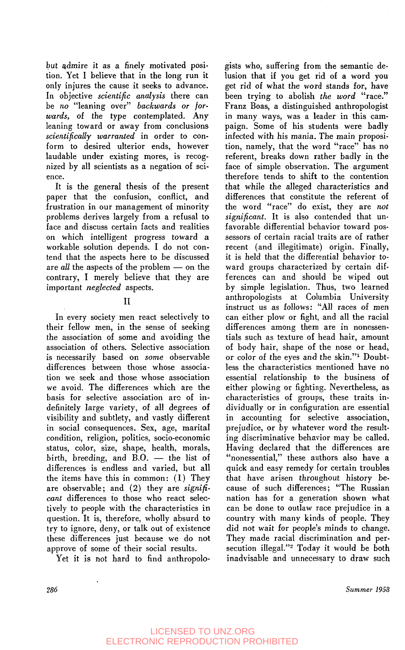but admire it as a finely motivated position. Yet I believe that in the long run it only injures the cause it seeks to advance. In objective *scientific analysis* there can be *no* "leaning over" *backwards or forwards,* of the type contemplated. Any leaning toward or away from conclusions *scientifically warranted* in order to conform to desired ulterior ends, however laudable under existing mores, is recognized by all scientists as a negation of science.

It is the general thesis of the present paper that the confusion, conflict, and frustration in our management of minority problems derives largely from a refusal to face and discuss certain facts and realities on which intelligent progress toward **a**  workable solution depends. I do not contend that the aspects here to be discussed are *all* the aspects of the problem - on the contrary, I merely believe that they are important *neglected* aspects.

I1

In every society men react selectively to their fellow men, in the sense of seeking the association of some and avoiding the association of others. Selective association is necessarily based on *some* observable differences between those whose association we seek and those whose association we avoid. The differences which are the basis for selective association arc of indefinitely large variety, of all degrees of visibility and subtlety, and vastly different in social consequences. Sex, age, marital condition, religion, politics, socio-economic<br>status, color, size, shape, health, morals,<br>birth, breeding, and B.O. — the list of<br>differences is addressed musical but all status, color, size, shape, health, morals, differences is endless and varied, but all the items have this in common: **(1)** They are observable; and (2) they are *significant* differences **to** those who react selectively to people with the characteristics in question. It is, therefore, wholly absurd to try to ignore, deny, or talk out of existence these differences just because we do not approve of some of their social results.

Yet it is not hard to find anthropolo-

gists who, suffering from the semantic delusion that if you get rid of a word you get rid of what the word stands for, have been trying to abolish *the word* "race." Franz Boas, a distinguished anthropologist in many ways, was a leader in this campaign. Some of his students were badly infected with his mania. The main proposition, namely, that the word "race" has no referent, breaks down rather badly in the face of simple observation. The argument therefore tends to shift to the contention that while the alleged characteristics and differences that constitute the referent of the word "race" do exist, they are *not significant.* It is also contended that unfavorable differential behavior toward possessors of certain racial traits are of rather recent (and illegitimate) origin. Finally, it is held that the differential behavior toward groups characterized by certain differences can and should be wiped out by simple legislation. Thus, two learned anthropologists at Columbia University instruct us as follows: "All races of men can either plow or fight, and all the racial differences among them are in nonessentials such as texture of head hair, amount of body hair, shape of the nose or head, or color of the eyes and the skin."<sup>1</sup> Doubtless the characteristics mentioned have no essential relationship to the business of either plowing or fighting. Nevertheless, as characteristics of groups, these traits individually or in configuration are essential in accounting for selective association, prejudice, or by whatever word the resulting discriminative behavior may be called. Having declared that the differences are "nonessential," these authors also have a quick and easy remedy for certain troubles that have arisen throughout history because of such differences; "The Russian nation has for a generation shown what can be done to outlaw race prejudice in a country with many kinds of people. They did not wait for people's minds to change. They made racial discrimination and persecution illegal."<sup>2</sup> Today it would be both inadvisable and unnecessary to draw such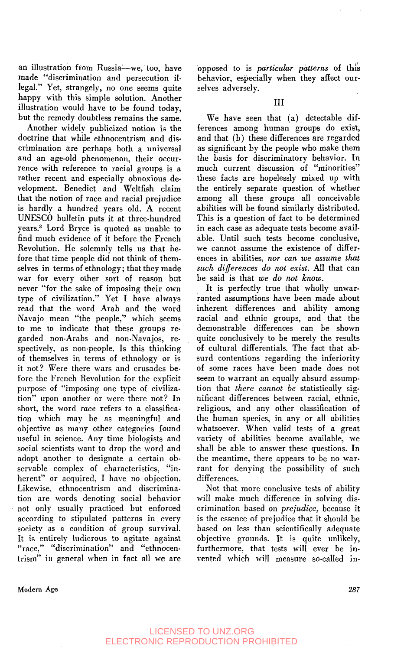an illustration from Russia--we, too, have made "discrimination and persecution illegal." Yet, strangely, no one seems quite happy with this simple solution. Another illustration would have to be found today, but the remedy doubtless remains the same.

Another widely publicized notion is the doctrine that while ethnocentrism and discrimination are perhaps both a universal and an age-old phenomenon, their occurrence with reference to racial groups is a rather recent and especially obnoxious development. Benedict and Weltfish claim that the notion of race and racial prejudice is hardly a hundred years old. A recent UNESCO bulletin puts it at three-hundred years? Lord Bryce is quoted as unable to find much evidence of it before the French Revolution. He solemnly tells us that before that time people did not think of themselves in terms of ethnology; that they made war for every other sort of reason but never ''for the sake of imposing their own type of civilization." Yet I have always read that the word Arab and the word Navajo mean "the people," which seems to me to indicate that these groups regarded non-Arabs and non-Navajos, respectively, as non-people. Is this thinking of themselves in terms of ethnology or is it not? Were there wars and crusades before the French Revolution for the explicit purpose of "imposing one type of civilization" upon another or were there not? In short, the word *race* refers to a classification which may be as meaningful and objective as many other categories found useful in science. Any time biologists and social scientists want to drop the word and adopt another to designate a certain observable complex of characteristics, "inherent" or acquired, I have no objection. Likewise, ethnocentrism and discrimination are words denoting social behavior not only usually practiced but enforced according to stipulated patterns in every society as a condition of group survival. It is entirely ludicrous to agitate against "race," "discrimination" and "ethnocentrism" in general when in fact all we are opposed to is *particular patterns* of this behavior, especially when they affect ourselves adversely.

We have seen that (a) detectable differences among human groups do exist, and that (b) these differences are regarded as significant by the people who make them the basis for discriminatory behavior. In much current discussion of "minorities" these facts are hopelessly mixed up with the entirely separate question of whether among all these groups all conceivable abilities will be found similarly distributed. This is a question of fact to be determined in each case as adequate tests become available. Until such tests become conclusive, we cannot assume the existence of differences in abilities, *nor can we assume that such differences do not exist.* All that can be said is that *we do not know.* 

It is perfectly true that wholly unwarranted assumptions have been made about inherent differences and ability among racial and ethnic groups, and that the demonstrable differences can be shown quite conclusively to be merely the results of cultural differentials. The fact that absurd contentions regarding the inferiority of some races have been made does not seem to warrant an equally absurd assumption that *there cannot be* statistically significant differences between racial, ethnic, religious, and any other classification of the human species, in any or all abilities whatsoever. When valid tests of a great variety of abilities become available. we shall be able to answer these questions. In the meantime, there appears to be no warrant for denying the possibility of such differences.

Not that more conclusive tests of ability will make much difference in solving discrimination based on *prejudice,* because it is the essence of prejudice that it should be based on less than scientifically adequate objective grounds. It is quite unlikely, furthermore. that tests will ever be invented which will measure so-called in-

**Modern Age 287**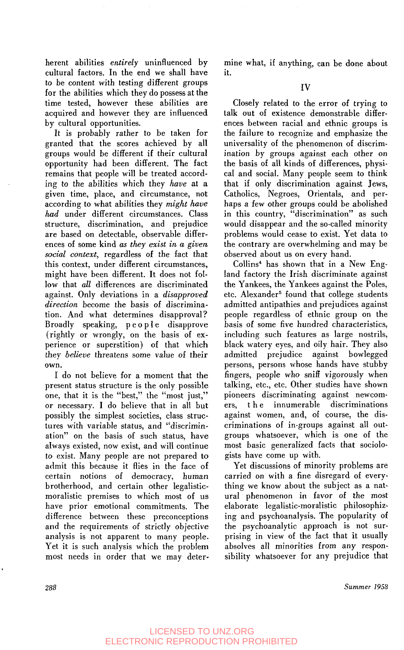herent abilities *entirely* uninfluenced by cultural factors. In the end we shall have to be content with testing different groups for the abilities which they do possess at the time tested, however these abilities are acquired and however they are influenced by cultural opportunities.

It is probably rather to be taken for granted that the scores achieved by all groups would be different if their cultural opportunity had been different. The fact remains that people will be treated according to the abilities which they *have* at a given time, place, and circumstance, not according to what abilities they *might have had* under different circumstances. Class structure, discrimination, and prejudice are based on detectable, observable differences of some kind **as** *they exist in a given social context,* regardless of the fact that this context, under different circumstances, might have been different. It does not follow that *all* differences are discriminated against. Only deviations in a *disapproved direction* become the basis of discrimination. And what determines disapproval? Broadly speaking, people disapprove (rightly or wrongly, on the basis of experience or superstition) of that which they *believe* threatens some value of their own.

I do not believe for a moment that the present status structure is the only possible one, that it is the "best," the "most just," or necessary. I do believe that in all but possibly the simplest societies, class structures with variable status, and "discrimination" on the basis of such status, have always existed, now exist, and will continue to exist. Many people are not prepared to admit this because it flies in the face of certain notions of democracy, human brotherhood, and certain other legalisticmoralistic premises to which most of us have prior emotional commitments. The difference between these preconceptions and the requirements of strictly objective analysis is not apparent to many people. Yet it is such analysis which the problem most needs in order that we may determine what, if anything, can be done about it.

Closely related to the error of trying to talk out of existence demonstrable differences between racial and ethnic groups is the failure to recognize and emphasize the universality of the phenomenon **of** discrimination by groups against each other on the basis of all kinds of differences, physical and social. Many people seem to think that if only discrimination against Jews, Catholics, Negroes, Orientals, and perhaps a few other groups could be abolished in this country, "discrimination" as such would disappear and the so-called minority problems would cease to exist. Yet data to the contrary are overwhelming and may be observed about us on every hand.

Collins4 has shown that in a New England factory the Irish discriminate against the Yankees, the Yankees against the Poles, etc. Alexander<sup>5</sup> found that college students admitted antipathies and prejudices against people regardless of ethnic group on the basis of some five hundred characteristics, including such features as large nostrils, black watery eyes, and oily hair. They also admitted prejudice against bowlegged persons, persons whose hands have stubby fingers, people who sniff vigorously when talking, etc., etc. Other studies have shown pioneers discriminating against newcomers, t h e innumerable discriminations against women, and, of course, the discriminations of in-groups against all outgroups whatsoever, which is one of the most basic generalized facts that sociologists have come up with.

Yet discussions **of** minority problems are carried on with a fine disregard of everything we know about the subject as a natural phenomenon in favor of the most elaborate legalistic-moralistic philosophizing and psychoanalysis. The popularity of the psychoanalytic approach is not surprising in view of the fact that it usually absolves all minorities from any responsibility whatsoever for any prejudice that

**288** *Summer 1955*